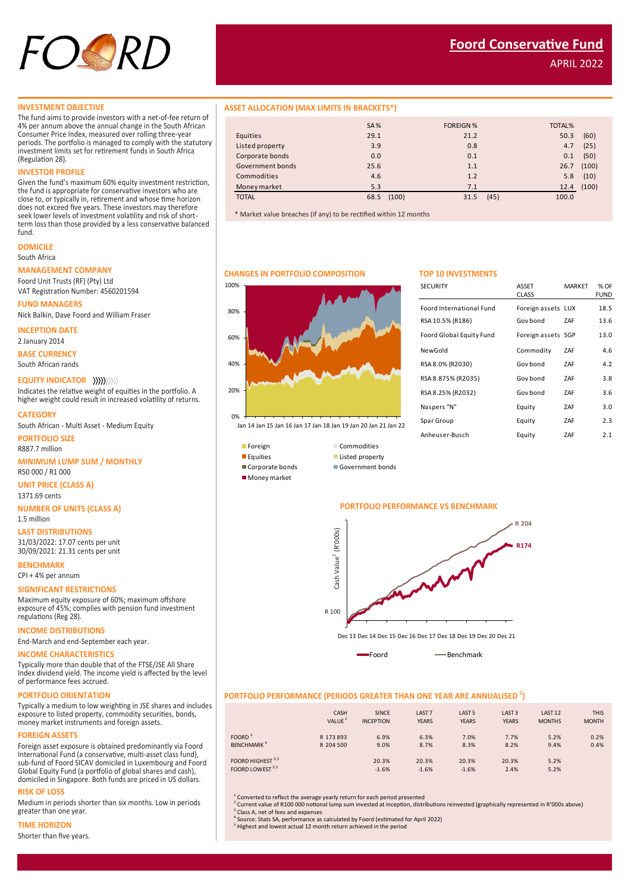

APRIL 2022

The fund aims to provide investors with a net-of-fee return of 4% per annum above the annual change in the South African Consumer Price Index, measured over rolling three-year periods. The portfolio is managed to comply with the statutory investment limits set for retirement funds in South Africa (Regulation 28).

#### **INVESTOR PROFILE**

Given the fund's maximum 60% equity investment restriction, the fund is appropriate for conservative investors who are close to, or typically in, retirement and whose time horizon does not exceed five years. These investors may therefore seek lower levels of investment volatility and risk of shortterm loss than those provided by a less conservative balanced fund.

## **DOMICILE**

South Africa

#### **MANAGEMENT COMPANY**

Foord Unit Trusts (RF) (Pty) Ltd VAT Registration Number: 4560201594

**FUND MANAGERS**

Nick Balkin, Dave Foord and William Fraser

**INCEPTION DATE**

2 January 2014

**BASE CURRENCY**

South African rands

#### **EQUITY INDICATOR**

Indicates the relative weight of equities in the portfolio. A higher weight could result in increased volatility of returns.

**CATEGORY**

South African - Multi Asset - Medium Equity

**PORTFOLIO SIZE** R887.7 million

#### **MINIMUM LUMP SUM / MONTHLY**

R50 000 / R1 000

**UNIT PRICE (CLASS A)** 1371.69 cents

**NUMBER OF UNITS (CLASS A)** 1.5 million

**LAST DISTRIBUTIONS** 31/03/2022: 17.07 cents per unit 30/09/2021: 21.31 cents per unit

**BENCHMARK** 

## CPI + 4% per annum

#### **SIGNIFICANT RESTRICTIONS**

Maximum equity exposure of 60%; maximum offshore exposure of 45%; complies with pension fund investment regulations (Reg 28).

**INCOME DISTRIBUTIONS**

End-March and end-September each year.

#### **INCOME CHARACTERISTICS**

Typically more than double that of the FTSE/JSE All Share Index dividend yield. The income yield is affected by the level of performance fees accrued.

#### **PORTFOLIO ORIENTATION**

Typically a medium to low weighting in JSE shares and includes exposure to listed property, commodity securities, bonds, money market instruments and foreign assets.

#### **FOREIGN ASSETS**

Foreign asset exposure is obtained predominantly via Foord International Fund (a conservative, multi-asset class fund), sub-fund of Foord SICAV domiciled in Luxembourg and Foord Global Equity Fund (a portfolio of global shares and cash), domiciled in Singapore. Both funds are priced in US dollars.

#### **RISK OF LOSS**

Medium in periods shorter than six months. Low in periods greater than one year.

#### **TIME HORIZON**

Shorter than five years.

#### **INVESTMENT OBJECTIVE ASSET ALLOCATION (MAX LIMITS IN BRACKETS\*)**

|                  | <b>SA%</b> |       | <b>FOREIGN%</b> |      | TOTAL% |            |
|------------------|------------|-------|-----------------|------|--------|------------|
| Equities         | 29.1       |       | 21.2            |      | 50.3   | (60)       |
|                  |            |       |                 |      |        |            |
| Listed property  | 3.9        |       | 0.8             |      | 4.7    | (25)       |
| Corporate bonds  | 0.0        |       | 0.1             |      | 0.1    | (50)       |
| Government bonds | 25.6       |       | 1.1             |      | 26.7   | (100)      |
| Commodities      | 4.6        |       | 1.2             |      | 5.8    | (10)       |
| Money market     | 5.3        |       | 7.1             |      |        | 12.4 (100) |
| <b>TOTAL</b>     | 68.5       | (100) | 31.5            | (45) | 100.0  |            |

\* Market value breaches (if any) to be rectified within 12 months

#### **CHANGES IN PORTFOLIO COMPOSITION TOP 10 INVESTMENTS**

# 20% 40% 60% 80%

Jan 14 Jan 15 Jan 16 Jan 17 Jan 18 Jan 19 Jan 20 Jan 21 Jan 22



0%

100%



**Money market** 



#### **PORTFOLIO PERFORMANCE VS BENCHMARK**



Dec 13 Dec 14 Dec 15 Dec 16 Dec 17 Dec 18 Dec 19 Dec 20 Dec 21

Foord **Benchmark** 

#### **PORTFOLIO PERFORMANCE (PERIODS GREATER THAN ONE YEAR ARE ANNUALISED <sup>1</sup> )**

|                                                             | CASH               | <b>SINCE</b>     | LAST <sub>7</sub> | LAST <sub>5</sub> | LAST <sub>3</sub> | LAST <sub>12</sub> | <b>THIS</b>  |
|-------------------------------------------------------------|--------------------|------------------|-------------------|-------------------|-------------------|--------------------|--------------|
|                                                             | VALUE <sup>2</sup> | <b>INCEPTION</b> | <b>YEARS</b>      | <b>YEARS</b>      | <b>YEARS</b>      | <b>MONTHS</b>      | <b>MONTH</b> |
| FOORD <sup>3</sup>                                          | R 173 893          | 6.9%             | 6.3%              | 7.0%              | 7.7%              | 5.2%               | 0.2%         |
| <b>BENCHMARK<sup>4</sup></b>                                | R 204 500          | 9.0%             | 8.7%              | 8.3%              | 8.2%              | 9.4%               | 0.4%         |
| FOORD HIGHEST <sup>3,5</sup><br>FOORD LOWEST <sup>3,5</sup> |                    | 20.3%<br>$-1.6%$ | 20.3%<br>$-1.6%$  | 20.3%<br>$-1.6%$  | 20.3%<br>2.4%     | 5.2%<br>5.2%       |              |

1 Converted to reflect the average yearly return for each period presented

<sup>2</sup> Current value of R100 000 notional lump sum invested at inception, distributions reinvested (graphically represented in R'000s above)<br><sup>3</sup> Class A, net of fees and expenses<br><sup>4</sup> Causes: State 5.8, netfermanes as calculat

<sup>1</sup> Source: Stats SA, performance as calculated by Foord (estimated for April 2022)

<sup>5</sup> Highest and lowest actual 12 month return achieved in the period

| <b>ASSET</b> | <b>MARKET</b> | % OF<br>FUND                             |
|--------------|---------------|------------------------------------------|
|              |               | 18.5                                     |
| Gov bond     | ZAF           | 13.6                                     |
|              |               | 13.0                                     |
| Commodity    | ZAF           | 4.6                                      |
| Gov bond     | ZAF           | 4.2                                      |
| Gov bond     | ZAF           | 3.8                                      |
| Gov bond     | ZAF           | 3.6                                      |
| Equity       | ZAF           | 3.0                                      |
| Equity       | ZAF           | 2.3                                      |
| Equity       | ZAF           | 2.1                                      |
|              | <b>CLASS</b>  | Foreign assets LUX<br>Foreign assets SGP |